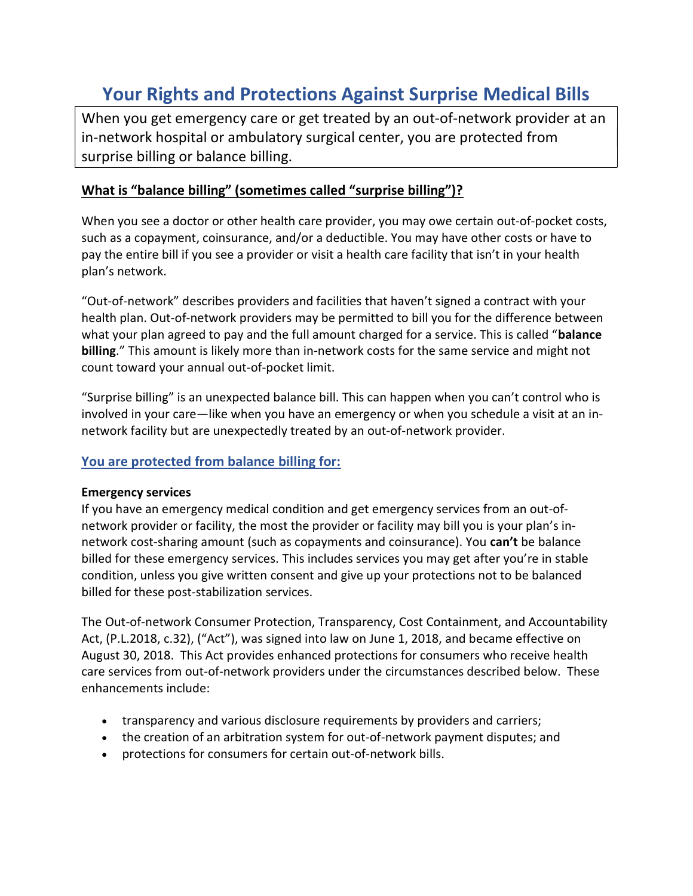# Your Rights and Protections Against Surprise Medical Bills

When you get emergency care or get treated by an out-of-network provider at an in-network hospital or ambulatory surgical center, you are protected from surprise billing or balance billing.

# What is "balance billing" (sometimes called "surprise billing")?

When you see a doctor or other health care provider, you may owe certain out-of-pocket costs, such as a copayment, coinsurance, and/or a deductible. You may have other costs or have to pay the entire bill if you see a provider or visit a health care facility that isn't in your health plan's network.

"Out-of-network" describes providers and facilities that haven't signed a contract with your health plan. Out-of-network providers may be permitted to bill you for the difference between what your plan agreed to pay and the full amount charged for a service. This is called "balance" billing." This amount is likely more than in-network costs for the same service and might not count toward your annual out-of-pocket limit.

"Surprise billing" is an unexpected balance bill. This can happen when you can't control who is involved in your care—like when you have an emergency or when you schedule a visit at an innetwork facility but are unexpectedly treated by an out-of-network provider.

## You are protected from balance billing for:

#### Emergency services

If you have an emergency medical condition and get emergency services from an out-ofnetwork provider or facility, the most the provider or facility may bill you is your plan's innetwork cost-sharing amount (such as copayments and coinsurance). You can't be balance billed for these emergency services. This includes services you may get after you're in stable condition, unless you give written consent and give up your protections not to be balanced billed for these post-stabilization services.

The Out-of-network Consumer Protection, Transparency, Cost Containment, and Accountability Act, (P.L.2018, c.32), ("Act"), was signed into law on June 1, 2018, and became effective on August 30, 2018. This Act provides enhanced protections for consumers who receive health care services from out-of-network providers under the circumstances described below. These enhancements include:

- transparency and various disclosure requirements by providers and carriers;
- the creation of an arbitration system for out-of-network payment disputes; and
- protections for consumers for certain out-of-network bills.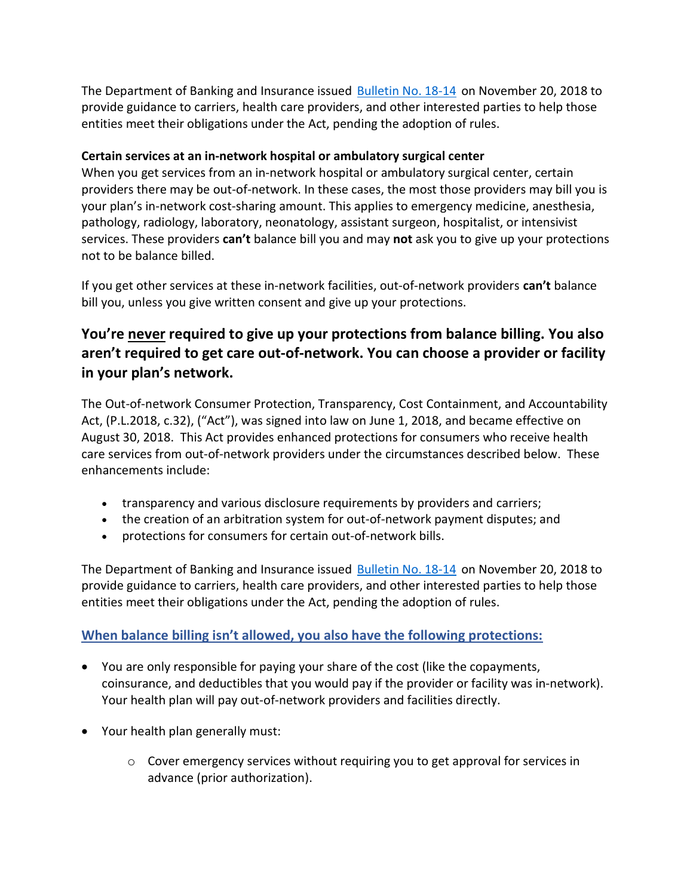The Department of Banking and Insurance issued Bulletin No. 18-14 on November 20, 2018 to provide guidance to carriers, health care providers, and other interested parties to help those entities meet their obligations under the Act, pending the adoption of rules.

#### Certain services at an in-network hospital or ambulatory surgical center

When you get services from an in-network hospital or ambulatory surgical center, certain providers there may be out-of-network. In these cases, the most those providers may bill you is your plan's in-network cost-sharing amount. This applies to emergency medicine, anesthesia, pathology, radiology, laboratory, neonatology, assistant surgeon, hospitalist, or intensivist services. These providers can't balance bill you and may not ask you to give up your protections not to be balance billed.

If you get other services at these in-network facilities, out-of-network providers can't balance bill you, unless you give written consent and give up your protections.

# You're never required to give up your protections from balance billing. You also aren't required to get care out-of-network. You can choose a provider or facility in your plan's network.

The Out-of-network Consumer Protection, Transparency, Cost Containment, and Accountability Act, (P.L.2018, c.32), ("Act"), was signed into law on June 1, 2018, and became effective on August 30, 2018. This Act provides enhanced protections for consumers who receive health care services from out-of-network providers under the circumstances described below. These enhancements include:

- transparency and various disclosure requirements by providers and carriers;
- the creation of an arbitration system for out-of-network payment disputes; and
- protections for consumers for certain out-of-network bills.

The Department of Banking and Insurance issued Bulletin No. 18-14 on November 20, 2018 to provide guidance to carriers, health care providers, and other interested parties to help those entities meet their obligations under the Act, pending the adoption of rules.

## When balance billing isn't allowed, you also have the following protections:

- You are only responsible for paying your share of the cost (like the copayments, coinsurance, and deductibles that you would pay if the provider or facility was in-network). Your health plan will pay out-of-network providers and facilities directly.
- Your health plan generally must:
	- o Cover emergency services without requiring you to get approval for services in advance (prior authorization).